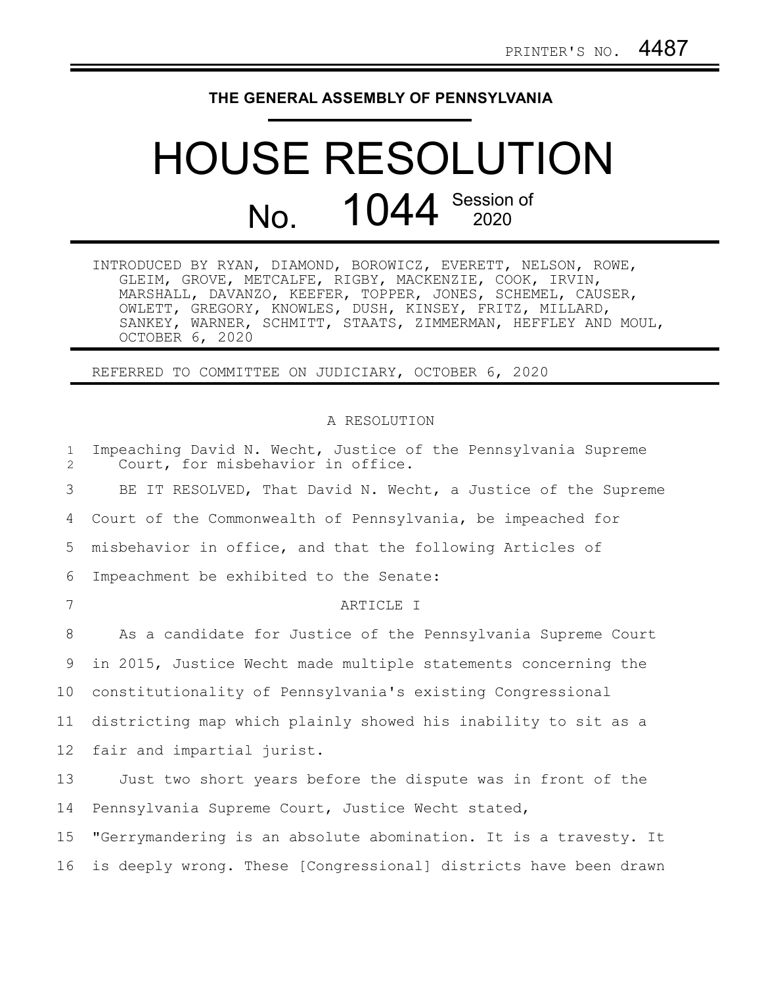## **THE GENERAL ASSEMBLY OF PENNSYLVANIA**

# HOUSE RESOLUTION No. 1044 Session of

| INTRODUCED BY RYAN, DIAMOND, BOROWICZ, EVERETT, NELSON, ROWE, |
|---------------------------------------------------------------|
| GLEIM, GROVE, METCALFE, RIGBY, MACKENZIE, COOK, IRVIN,        |
| MARSHALL, DAVANZO, KEEFER, TOPPER, JONES, SCHEMEL, CAUSER,    |
| OWLETT, GREGORY, KNOWLES, DUSH, KINSEY, FRITZ, MILLARD,       |
| SANKEY, WARNER, SCHMITT, STAATS, ZIMMERMAN, HEFFLEY AND MOUL, |
| OCTOBER 6, 2020                                               |

REFERRED TO COMMITTEE ON JUDICIARY, OCTOBER 6, 2020

#### A RESOLUTION

| $\mathbf{1}$<br>$\overline{2}$ | Impeaching David N. Wecht, Justice of the Pennsylvania Supreme<br>Court, for misbehavior in office. |
|--------------------------------|-----------------------------------------------------------------------------------------------------|
| 3                              | BE IT RESOLVED, That David N. Wecht, a Justice of the Supreme                                       |
| 4                              | Court of the Commonwealth of Pennsylvania, be impeached for                                         |
| 5                              | misbehavior in office, and that the following Articles of                                           |
| 6                              | Impeachment be exhibited to the Senate:                                                             |
| 7                              | ARTICLE I                                                                                           |
| 8                              | As a candidate for Justice of the Pennsylvania Supreme Court                                        |
| 9                              | in 2015, Justice Wecht made multiple statements concerning the                                      |
| 10                             | constitutionality of Pennsylvania's existing Congressional                                          |
| 11                             | districting map which plainly showed his inability to sit as a                                      |
| 12                             | fair and impartial jurist.                                                                          |
| 13                             | Just two short years before the dispute was in front of the                                         |
| 14                             | Pennsylvania Supreme Court, Justice Wecht stated,                                                   |
| 15                             | "Gerrymandering is an absolute abomination. It is a travesty. It                                    |
| 16                             | is deeply wrong. These [Congressional] districts have been drawn                                    |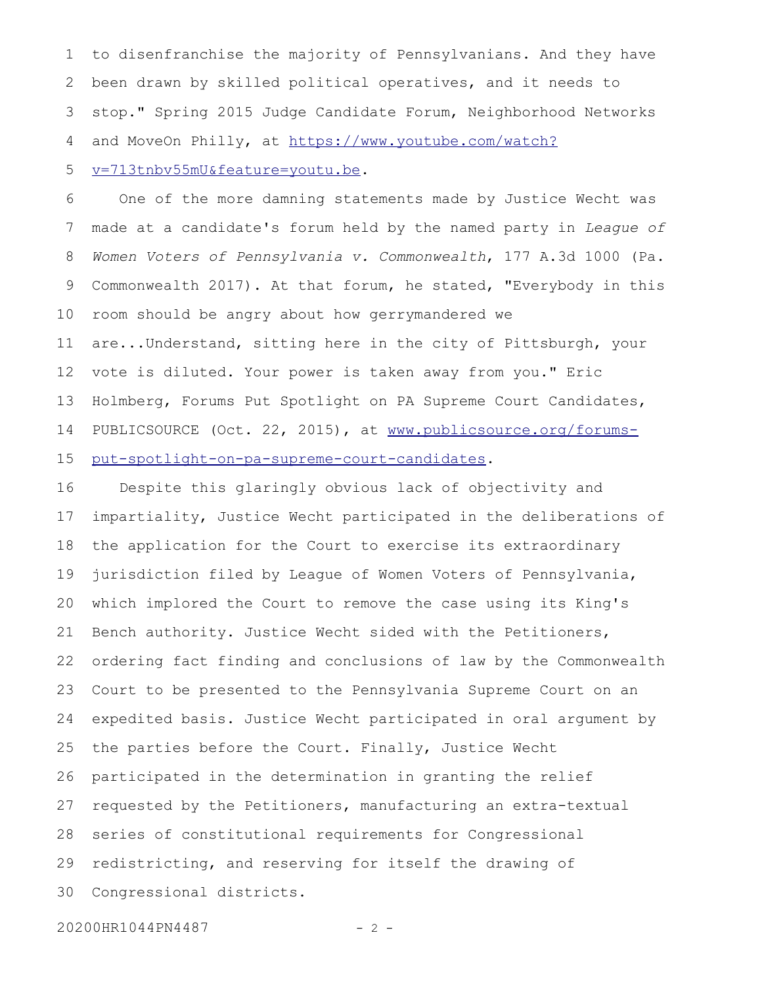to disenfranchise the majority of Pennsylvanians. And they have been drawn by skilled political operatives, and it needs to stop." Spring 2015 Judge Candidate Forum, Neighborhood Networks and MoveOn Philly, at [https://www.youtube.com/watch?](https://www.youtube.com/watch?v=713tnbv55mU&feature=youtu.be) 1 2 3 4

#### [v=713tnbv55mU&feature=youtu.be.](https://www.youtube.com/watch?v=713tnbv55mU&feature=youtu.be) 5

One of the more damning statements made by Justice Wecht was made at a candidate's forum held by the named party in *League of Women Voters of Pennsylvania v. Commonwealth*, 177 A.3d 1000 (Pa. Commonwealth 2017). At that forum, he stated, "Everybody in this room should be angry about how gerrymandered we are...Understand, sitting here in the city of Pittsburgh, your vote is diluted. Your power is taken away from you." Eric Holmberg, Forums Put Spotlight on PA Supreme Court Candidates, PUBLICSOURCE (Oct. 22, 2015), at [www.publicsource.org/forums](http://www.publicsource.org/forums-put-spotlight-on-pa-supreme-court-candidates)[put-spotlight-on-pa-supreme-court-candidates.](http://www.publicsource.org/forums-put-spotlight-on-pa-supreme-court-candidates) 6 7 8 9 10 11 12 13 14 15

Despite this glaringly obvious lack of objectivity and impartiality, Justice Wecht participated in the deliberations of the application for the Court to exercise its extraordinary jurisdiction filed by League of Women Voters of Pennsylvania, which implored the Court to remove the case using its King's Bench authority. Justice Wecht sided with the Petitioners, ordering fact finding and conclusions of law by the Commonwealth Court to be presented to the Pennsylvania Supreme Court on an expedited basis. Justice Wecht participated in oral argument by the parties before the Court. Finally, Justice Wecht participated in the determination in granting the relief requested by the Petitioners, manufacturing an extra-textual series of constitutional requirements for Congressional redistricting, and reserving for itself the drawing of Congressional districts. 16 17 18 19 20 21 22 23 24 25 26 27 28 29 30

20200HR1044PN4487 - 2 -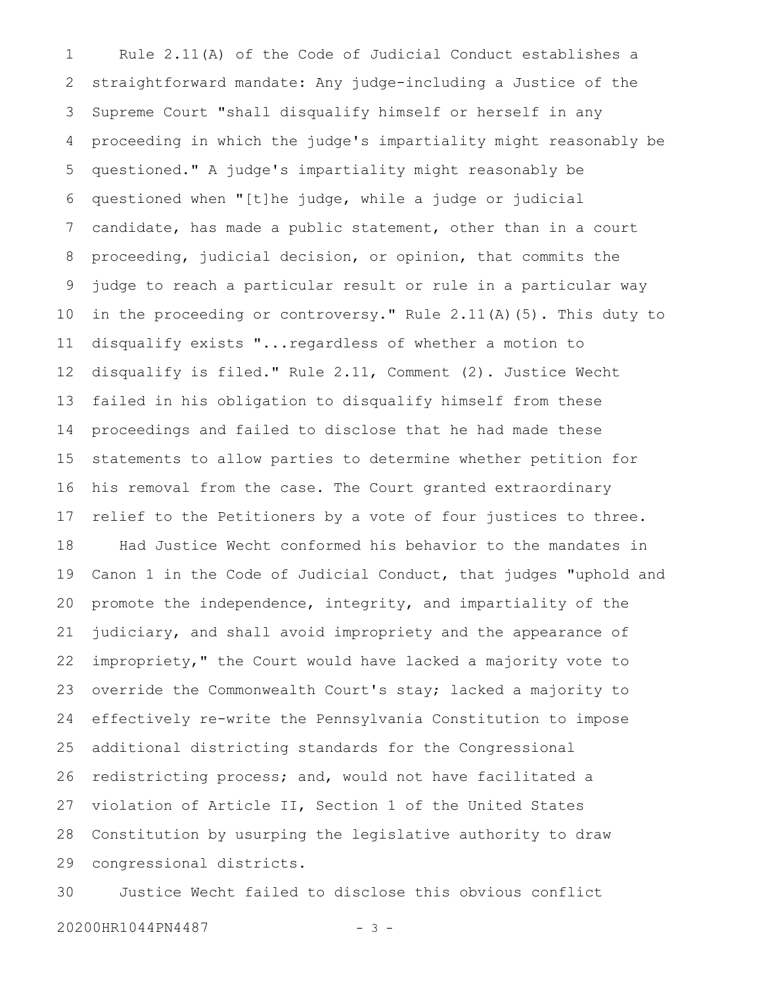Rule 2.11(A) of the Code of Judicial Conduct establishes a straightforward mandate: Any judge-including a Justice of the Supreme Court "shall disqualify himself or herself in any proceeding in which the judge's impartiality might reasonably be questioned." A judge's impartiality might reasonably be questioned when "[t]he judge, while a judge or judicial candidate, has made a public statement, other than in a court proceeding, judicial decision, or opinion, that commits the judge to reach a particular result or rule in a particular way in the proceeding or controversy." Rule 2.11(A)(5). This duty to disqualify exists "...regardless of whether a motion to disqualify is filed." Rule 2.11, Comment (2). Justice Wecht failed in his obligation to disqualify himself from these proceedings and failed to disclose that he had made these statements to allow parties to determine whether petition for his removal from the case. The Court granted extraordinary relief to the Petitioners by a vote of four justices to three. Had Justice Wecht conformed his behavior to the mandates in Canon 1 in the Code of Judicial Conduct, that judges "uphold and promote the independence, integrity, and impartiality of the judiciary, and shall avoid impropriety and the appearance of impropriety," the Court would have lacked a majority vote to override the Commonwealth Court's stay; lacked a majority to effectively re-write the Pennsylvania Constitution to impose additional districting standards for the Congressional redistricting process; and, would not have facilitated a violation of Article II, Section 1 of the United States Constitution by usurping the legislative authority to draw congressional districts. 1 2 3 4 5 6 7 8 9 10 11 12 13 14 15 16 17 18 19 20 21 22 23 24 25 26 27 28 29

Justice Wecht failed to disclose this obvious conflict 20200HR1044PN4487 - 3 -30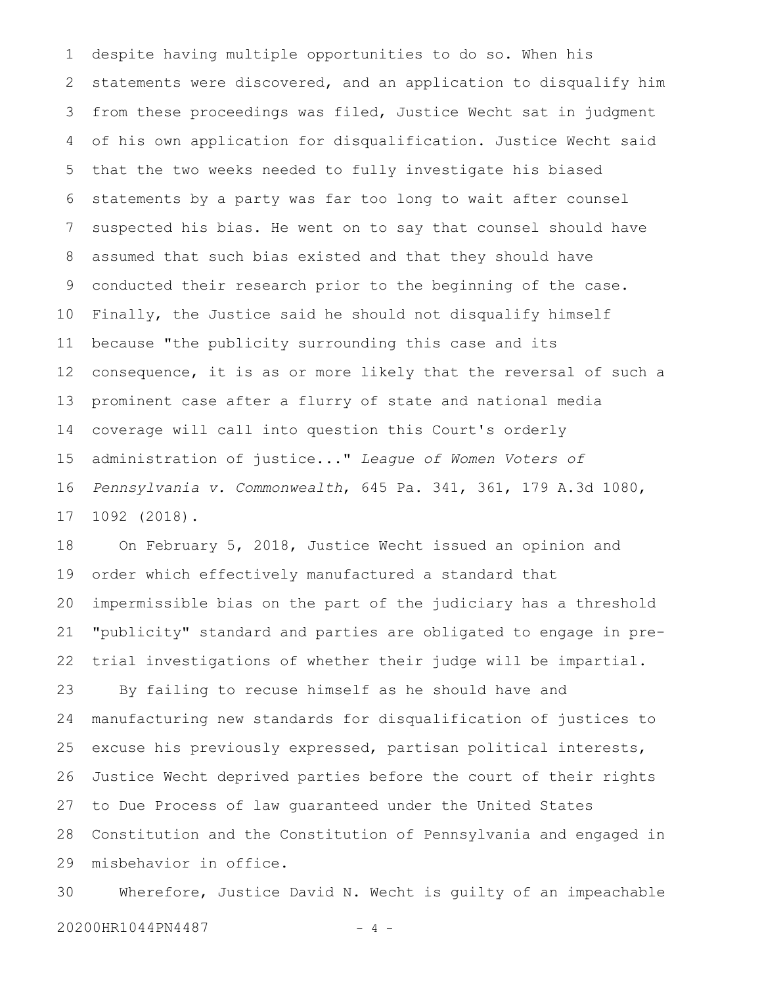despite having multiple opportunities to do so. When his statements were discovered, and an application to disqualify him from these proceedings was filed, Justice Wecht sat in judgment of his own application for disqualification. Justice Wecht said that the two weeks needed to fully investigate his biased statements by a party was far too long to wait after counsel suspected his bias. He went on to say that counsel should have assumed that such bias existed and that they should have conducted their research prior to the beginning of the case. Finally, the Justice said he should not disqualify himself because "the publicity surrounding this case and its consequence, it is as or more likely that the reversal of such a prominent case after a flurry of state and national media coverage will call into question this Court's orderly administration of justice..." *League of Women Voters of Pennsylvania v. Commonwealth*, 645 Pa. 341, 361, 179 A.3d 1080, 1092 (2018). 1 2 3 4 5 6 7 8 9 10 11 12 13 14 15 16 17

On February 5, 2018, Justice Wecht issued an opinion and order which effectively manufactured a standard that impermissible bias on the part of the judiciary has a threshold "publicity" standard and parties are obligated to engage in pretrial investigations of whether their judge will be impartial. By failing to recuse himself as he should have and manufacturing new standards for disqualification of justices to 18 19 20 21 22 23 24

excuse his previously expressed, partisan political interests, Justice Wecht deprived parties before the court of their rights to Due Process of law guaranteed under the United States Constitution and the Constitution of Pennsylvania and engaged in misbehavior in office. 25 26 27 28 29

Wherefore, Justice David N. Wecht is guilty of an impeachable 20200HR1044PN4487 - 4 -30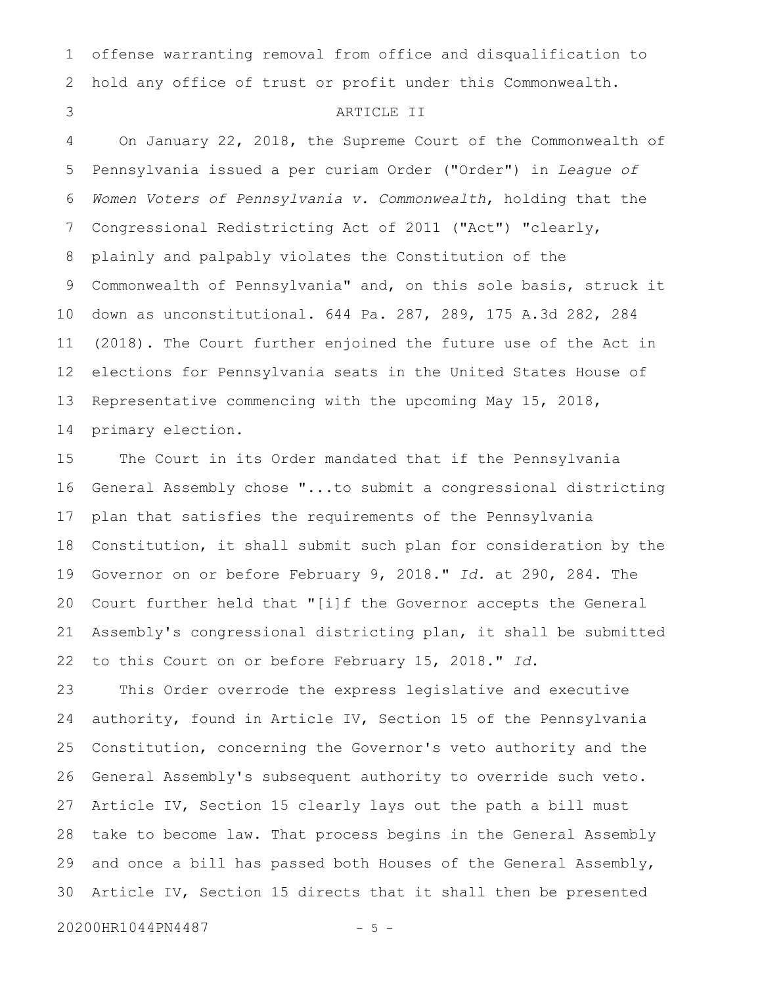offense warranting removal from office and disqualification to hold any office of trust or profit under this Commonwealth. 1 2

#### ARTICLE II

On January 22, 2018, the Supreme Court of the Commonwealth of Pennsylvania issued a per curiam Order ("Order") in *League of Women Voters of Pennsylvania v. Commonwealth*, holding that the Congressional Redistricting Act of 2011 ("Act") "clearly, plainly and palpably violates the Constitution of the Commonwealth of Pennsylvania" and, on this sole basis, struck it down as unconstitutional. 644 Pa. 287, 289, 175 A.3d 282, 284 (2018). The Court further enjoined the future use of the Act in elections for Pennsylvania seats in the United States House of Representative commencing with the upcoming May 15, 2018, primary election. 4 5 6 7 8 9 10 11 12 13 14

The Court in its Order mandated that if the Pennsylvania General Assembly chose "...to submit a congressional districting plan that satisfies the requirements of the Pennsylvania Constitution, it shall submit such plan for consideration by the Governor on or before February 9, 2018." *Id.* at 290, 284. The Court further held that "[i]f the Governor accepts the General Assembly's congressional districting plan, it shall be submitted to this Court on or before February 15, 2018." *Id*. 15 16 17 18 19 20 21 22

This Order overrode the express legislative and executive authority, found in Article IV, Section 15 of the Pennsylvania Constitution, concerning the Governor's veto authority and the General Assembly's subsequent authority to override such veto. Article IV, Section 15 clearly lays out the path a bill must take to become law. That process begins in the General Assembly and once a bill has passed both Houses of the General Assembly, Article IV, Section 15 directs that it shall then be presented 23 24 25 26 27 28 29 30

20200HR1044PN4487 - 5 -

3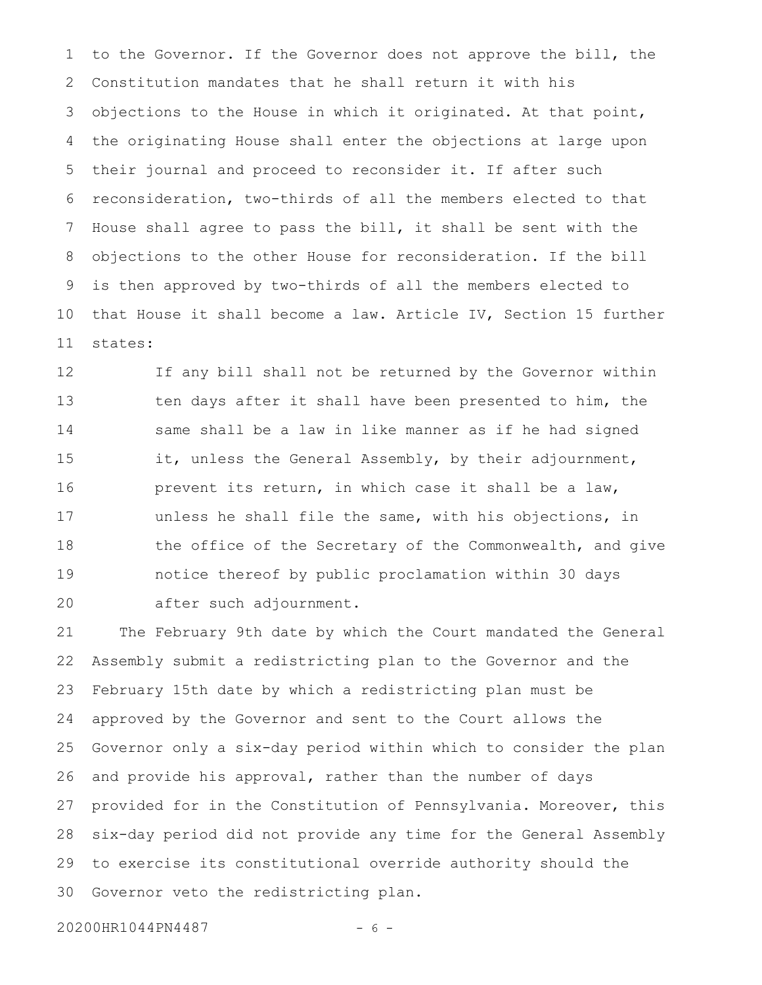to the Governor. If the Governor does not approve the bill, the Constitution mandates that he shall return it with his objections to the House in which it originated. At that point, the originating House shall enter the objections at large upon their journal and proceed to reconsider it. If after such reconsideration, two-thirds of all the members elected to that House shall agree to pass the bill, it shall be sent with the objections to the other House for reconsideration. If the bill is then approved by two-thirds of all the members elected to that House it shall become a law. Article IV, Section 15 further states: 1 2 3 4 5 6 7 8 9 10 11

If any bill shall not be returned by the Governor within ten days after it shall have been presented to him, the same shall be a law in like manner as if he had signed it, unless the General Assembly, by their adjournment, prevent its return, in which case it shall be a law, unless he shall file the same, with his objections, in the office of the Secretary of the Commonwealth, and give notice thereof by public proclamation within 30 days after such adjournment. 12 13 14 15 16 17 18 19 20

The February 9th date by which the Court mandated the General Assembly submit a redistricting plan to the Governor and the February 15th date by which a redistricting plan must be approved by the Governor and sent to the Court allows the Governor only a six-day period within which to consider the plan and provide his approval, rather than the number of days provided for in the Constitution of Pennsylvania. Moreover, this six-day period did not provide any time for the General Assembly to exercise its constitutional override authority should the Governor veto the redistricting plan. 21 22 23 24 25 26 27 28 29 30

20200HR1044PN4487 - 6 -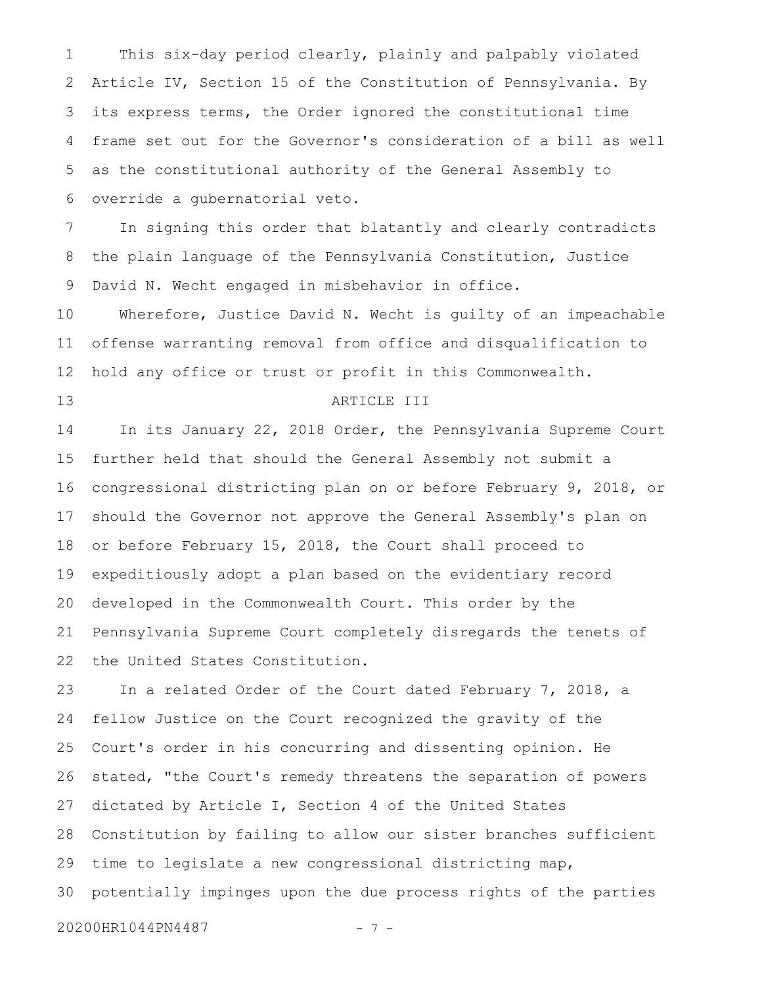This six-day period clearly, plainly and palpably violated Article IV, Section 15 of the Constitution of Pennsylvania. By its express terms, the Order ignored the constitutional time frame set out for the Governor's consideration of a bill as well as the constitutional authority of the General Assembly to override a gubernatorial veto. 1 2 3 4 5 6

In signing this order that blatantly and clearly contradicts the plain language of the Pennsylvania Constitution, Justice David N. Wecht engaged in misbehavior in office. 7 8 9

Wherefore, Justice David N. Wecht is guilty of an impeachable offense warranting removal from office and disqualification to hold any office or trust or profit in this Commonwealth. 10 11 12

13

### ARTICLE III

In its January 22, 2018 Order, the Pennsylvania Supreme Court further held that should the General Assembly not submit a congressional districting plan on or before February 9, 2018, or should the Governor not approve the General Assembly's plan on or before February 15, 2018, the Court shall proceed to expeditiously adopt a plan based on the evidentiary record developed in the Commonwealth Court. This order by the Pennsylvania Supreme Court completely disregards the tenets of the United States Constitution. 14 15 16 17 18 19 20 21 22

In a related Order of the Court dated February 7, 2018, a fellow Justice on the Court recognized the gravity of the Court's order in his concurring and dissenting opinion. He stated, "the Court's remedy threatens the separation of powers dictated by Article I, Section 4 of the United States Constitution by failing to allow our sister branches sufficient time to legislate a new congressional districting map, potentially impinges upon the due process rights of the parties 20200HR1044PN4487 - 7 -23 24 25 26 27 28 29 30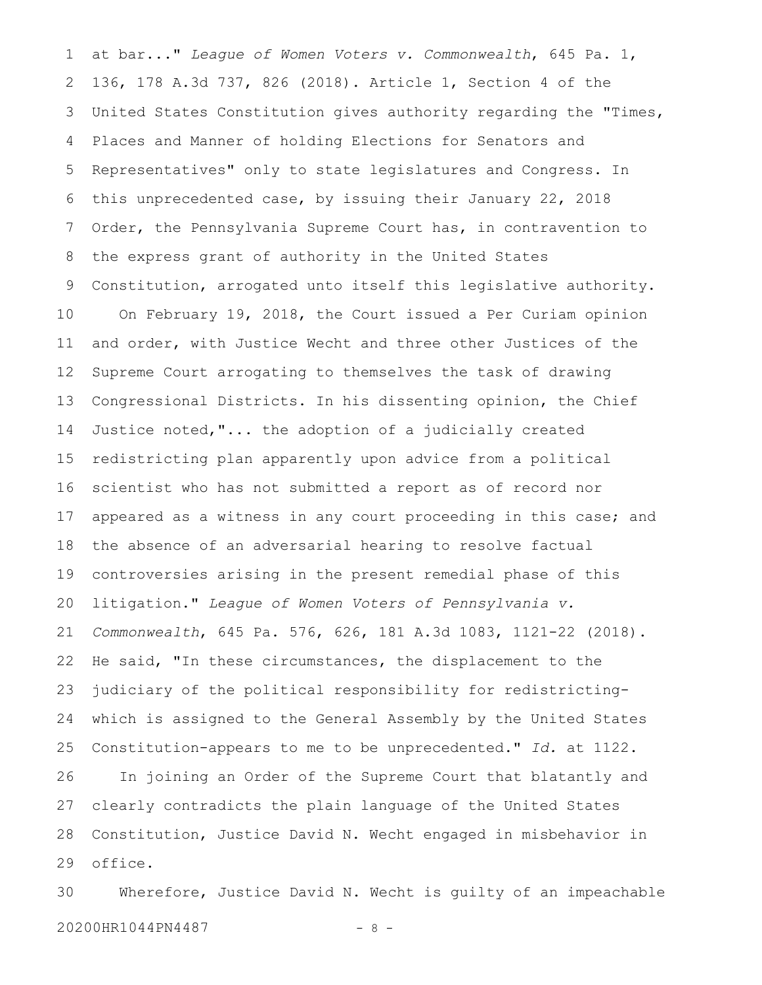at bar..." *League of Women Voters v. Commonwealth*, 645 Pa. 1, 136, 178 A.3d 737, 826 (2018). Article 1, Section 4 of the United States Constitution gives authority regarding the "Times, Places and Manner of holding Elections for Senators and Representatives" only to state legislatures and Congress. In this unprecedented case, by issuing their January 22, 2018 Order, the Pennsylvania Supreme Court has, in contravention to the express grant of authority in the United States Constitution, arrogated unto itself this legislative authority. On February 19, 2018, the Court issued a Per Curiam opinion and order, with Justice Wecht and three other Justices of the Supreme Court arrogating to themselves the task of drawing Congressional Districts. In his dissenting opinion, the Chief Justice noted,"... the adoption of a judicially created redistricting plan apparently upon advice from a political scientist who has not submitted a report as of record nor appeared as a witness in any court proceeding in this case; and the absence of an adversarial hearing to resolve factual controversies arising in the present remedial phase of this litigation." *League of Women Voters of Pennsylvania v. Commonwealth*, 645 Pa. 576, 626, 181 A.3d 1083, 1121-22 (2018). He said, "In these circumstances, the displacement to the judiciary of the political responsibility for redistrictingwhich is assigned to the General Assembly by the United States Constitution-appears to me to be unprecedented." *Id.* at 1122. In joining an Order of the Supreme Court that blatantly and clearly contradicts the plain language of the United States Constitution, Justice David N. Wecht engaged in misbehavior in office. 1 2 3 4 5 6 7 8 9 10 11 12 13 14 15 16 17 18 19 20 21 22 23 24 25 26 27 28 29

Wherefore, Justice David N. Wecht is guilty of an impeachable 20200HR1044PN4487 - 8 -30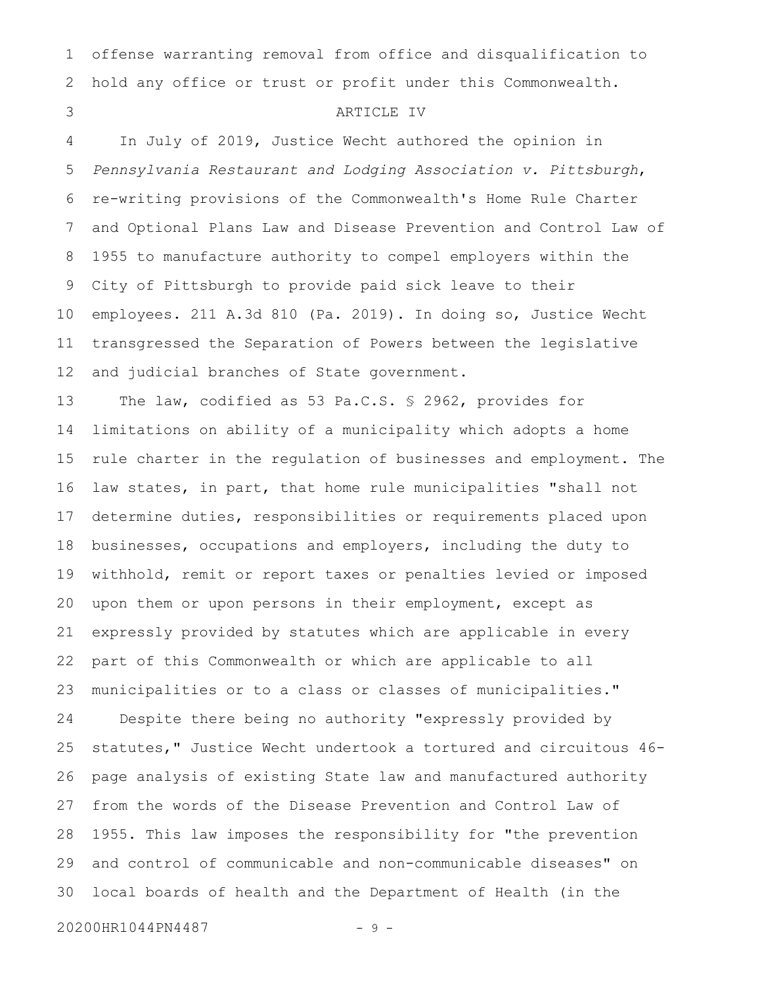offense warranting removal from office and disqualification to hold any office or trust or profit under this Commonwealth. 1 2

#### ARTICLE IV

In July of 2019, Justice Wecht authored the opinion in *Pennsylvania Restaurant and Lodging Association v. Pittsburgh*, re-writing provisions of the Commonwealth's Home Rule Charter and Optional Plans Law and Disease Prevention and Control Law of 1955 to manufacture authority to compel employers within the City of Pittsburgh to provide paid sick leave to their employees. 211 A.3d 810 (Pa. 2019). In doing so, Justice Wecht transgressed the Separation of Powers between the legislative and judicial branches of State government. 4 5 6 7 8 9 10 11 12

The law, codified as 53 Pa.C.S. § 2962, provides for limitations on ability of a municipality which adopts a home rule charter in the regulation of businesses and employment. The law states, in part, that home rule municipalities "shall not determine duties, responsibilities or requirements placed upon businesses, occupations and employers, including the duty to withhold, remit or report taxes or penalties levied or imposed upon them or upon persons in their employment, except as expressly provided by statutes which are applicable in every part of this Commonwealth or which are applicable to all municipalities or to a class or classes of municipalities." Despite there being no authority "expressly provided by statutes," Justice Wecht undertook a tortured and circuitous 46 page analysis of existing State law and manufactured authority from the words of the Disease Prevention and Control Law of 1955. This law imposes the responsibility for "the prevention and control of communicable and non-communicable diseases" on local boards of health and the Department of Health (in the 13 14 15 16 17 18 19 20 21 22 23 24 25 26 27 28 29 30

20200HR1044PN4487 - 9 -

3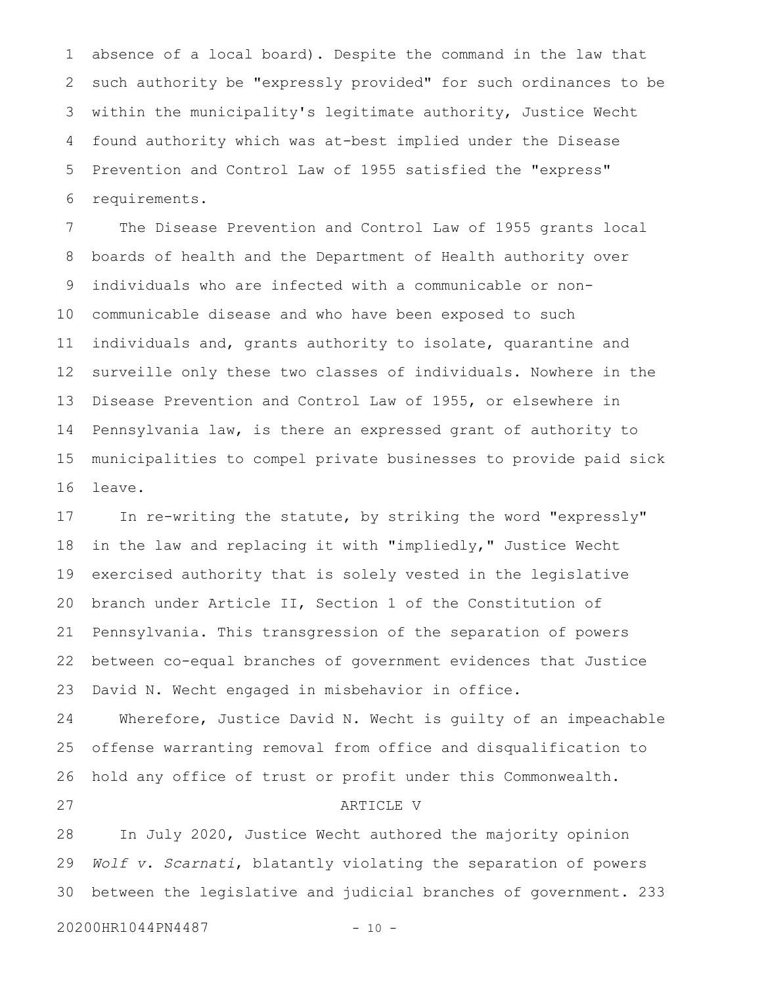absence of a local board). Despite the command in the law that such authority be "expressly provided" for such ordinances to be within the municipality's legitimate authority, Justice Wecht found authority which was at-best implied under the Disease Prevention and Control Law of 1955 satisfied the "express" requirements. 1 2 3 4 5 6

The Disease Prevention and Control Law of 1955 grants local boards of health and the Department of Health authority over individuals who are infected with a communicable or noncommunicable disease and who have been exposed to such individuals and, grants authority to isolate, quarantine and surveille only these two classes of individuals. Nowhere in the Disease Prevention and Control Law of 1955, or elsewhere in Pennsylvania law, is there an expressed grant of authority to municipalities to compel private businesses to provide paid sick leave. 7 8 9 10 11 12 13 14 15 16

In re-writing the statute, by striking the word "expressly" in the law and replacing it with "impliedly," Justice Wecht exercised authority that is solely vested in the legislative branch under Article II, Section 1 of the Constitution of Pennsylvania. This transgression of the separation of powers between co-equal branches of government evidences that Justice David N. Wecht engaged in misbehavior in office. 17 18 19 20 21 22 23

Wherefore, Justice David N. Wecht is guilty of an impeachable offense warranting removal from office and disqualification to hold any office of trust or profit under this Commonwealth. ARTICLE V 24 25 26 27

In July 2020, Justice Wecht authored the majority opinion *Wolf v. Scarnati*, blatantly violating the separation of powers between the legislative and judicial branches of government. 233 28 29 30

20200HR1044PN4487 - 10 -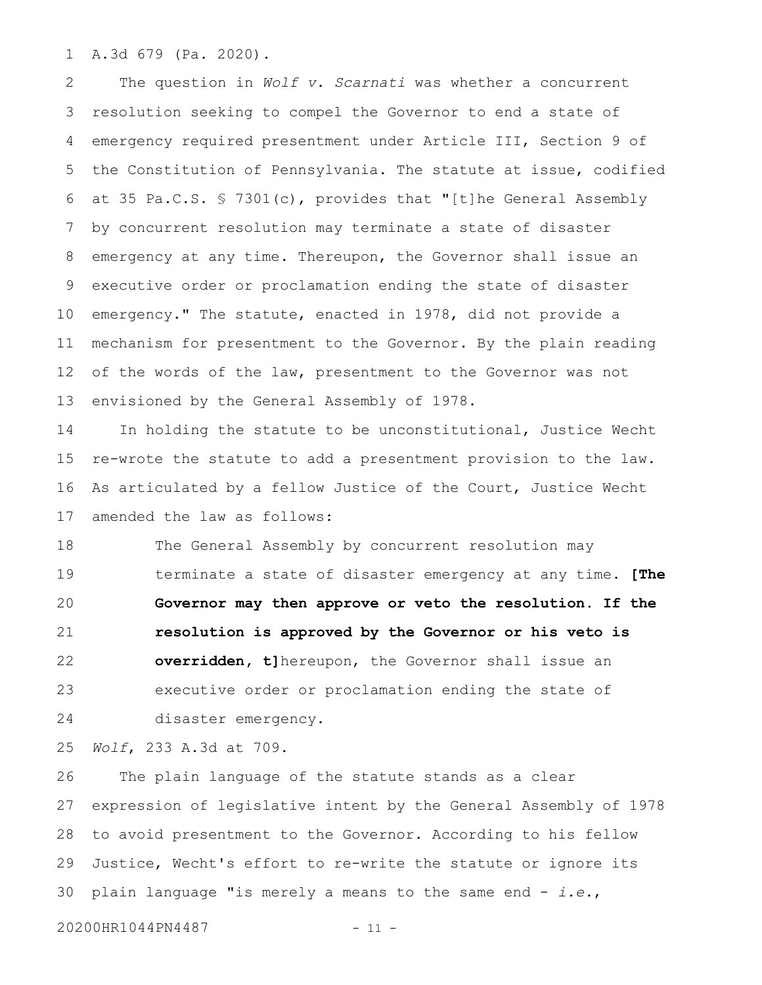A.3d 679 (Pa. 2020). 1

The question in *Wolf v. Scarnati* was whether a concurrent resolution seeking to compel the Governor to end a state of emergency required presentment under Article III, Section 9 of the Constitution of Pennsylvania. The statute at issue, codified at 35 Pa.C.S. § 7301(c), provides that "[t]he General Assembly by concurrent resolution may terminate a state of disaster emergency at any time. Thereupon, the Governor shall issue an executive order or proclamation ending the state of disaster emergency." The statute, enacted in 1978, did not provide a mechanism for presentment to the Governor. By the plain reading of the words of the law, presentment to the Governor was not envisioned by the General Assembly of 1978. 2 3 4 5 6 7 8 9 10 11 12 13

In holding the statute to be unconstitutional, Justice Wecht re-wrote the statute to add a presentment provision to the law. As articulated by a fellow Justice of the Court, Justice Wecht amended the law as follows: 14 15 16 17

The General Assembly by concurrent resolution may terminate a state of disaster emergency at any time. **[The Governor may then approve or veto the resolution. If the resolution is approved by the Governor or his veto is overridden, t]**hereupon, the Governor shall issue an executive order or proclamation ending the state of disaster emergency. 18 19 20 21 22 23 24

*Wolf*, 233 A.3d at 709. 25

The plain language of the statute stands as a clear expression of legislative intent by the General Assembly of 1978 to avoid presentment to the Governor. According to his fellow Justice, Wecht's effort to re-write the statute or ignore its plain language "is merely a means to the same end - *i.e.*, 26 27 28 29 30

20200HR1044PN4487 - 11 -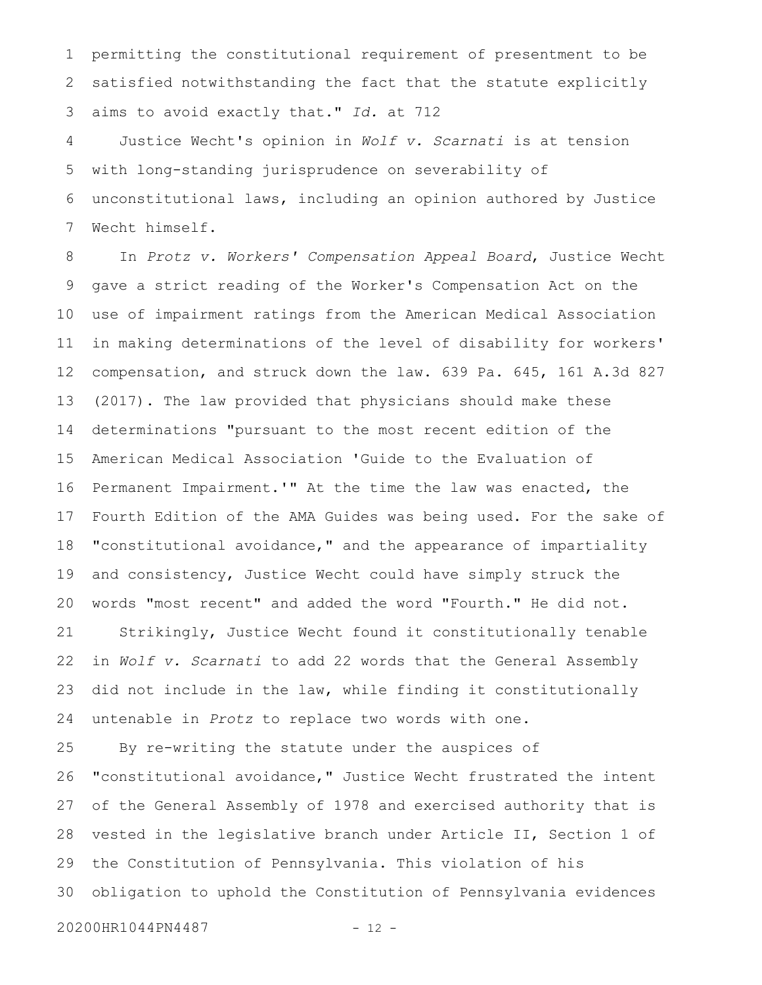permitting the constitutional requirement of presentment to be satisfied notwithstanding the fact that the statute explicitly aims to avoid exactly that." *Id.* at 712 1 2 3

Justice Wecht's opinion in *Wolf v. Scarnati* is at tension with long-standing jurisprudence on severability of unconstitutional laws, including an opinion authored by Justice Wecht himself. 4 5 6 7

In *Protz v. Workers' Compensation Appeal Board*, Justice Wecht gave a strict reading of the Worker's Compensation Act on the use of impairment ratings from the American Medical Association in making determinations of the level of disability for workers' compensation, and struck down the law. 639 Pa. 645, 161 A.3d 827 (2017). The law provided that physicians should make these determinations "pursuant to the most recent edition of the American Medical Association 'Guide to the Evaluation of Permanent Impairment.'" At the time the law was enacted, the Fourth Edition of the AMA Guides was being used. For the sake of "constitutional avoidance," and the appearance of impartiality and consistency, Justice Wecht could have simply struck the words "most recent" and added the word "Fourth." He did not. Strikingly, Justice Wecht found it constitutionally tenable in *Wolf v. Scarnati* to add 22 words that the General Assembly did not include in the law, while finding it constitutionally untenable in *Protz* to replace two words with one. 8 9 10 11 12 13 14 15 16 17 18 19 20 21 22 23 24

By re-writing the statute under the auspices of "constitutional avoidance," Justice Wecht frustrated the intent of the General Assembly of 1978 and exercised authority that is vested in the legislative branch under Article II, Section 1 of the Constitution of Pennsylvania. This violation of his obligation to uphold the Constitution of Pennsylvania evidences 25 26 27 28 29 30

20200HR1044PN4487 - 12 -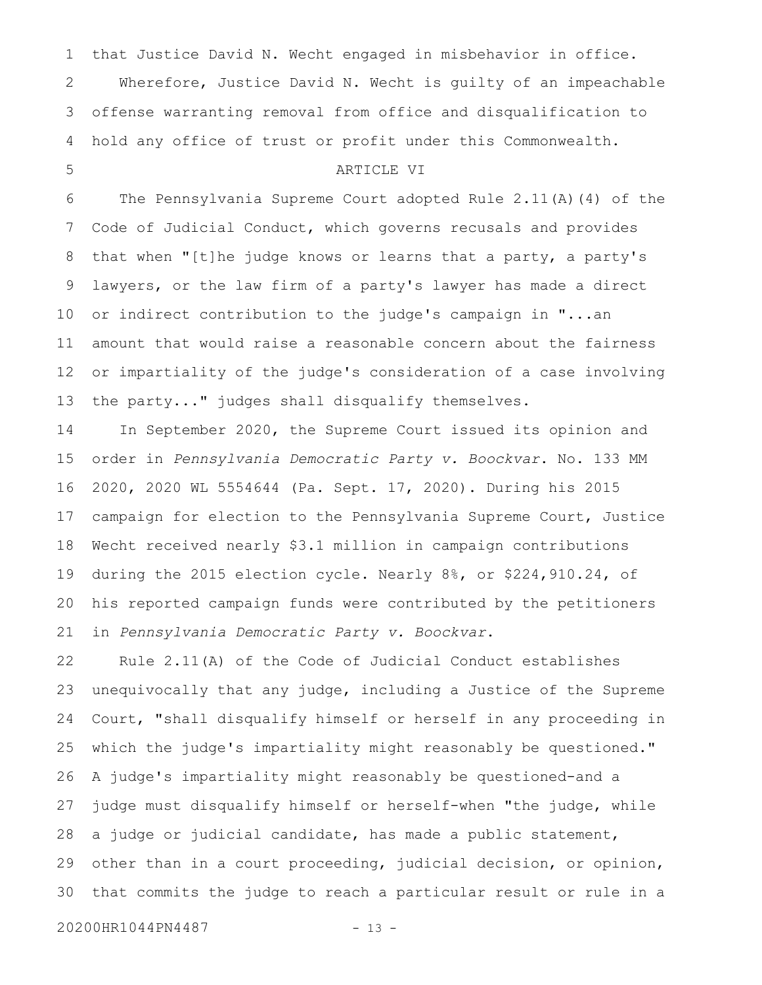that Justice David N. Wecht engaged in misbehavior in office. Wherefore, Justice David N. Wecht is guilty of an impeachable offense warranting removal from office and disqualification to hold any office of trust or profit under this Commonwealth. 1 2 3 4

#### ARTICLE VI

The Pennsylvania Supreme Court adopted Rule 2.11(A)(4) of the Code of Judicial Conduct, which governs recusals and provides that when "[t]he judge knows or learns that a party, a party's lawyers, or the law firm of a party's lawyer has made a direct or indirect contribution to the judge's campaign in "...an amount that would raise a reasonable concern about the fairness or impartiality of the judge's consideration of a case involving the party..." judges shall disqualify themselves. 6 7 8 9 10 11 12 13

In September 2020, the Supreme Court issued its opinion and order in *Pennsylvania Democratic Party v. Boockvar*. No. 133 MM 2020, 2020 WL 5554644 (Pa. Sept. 17, 2020). During his 2015 campaign for election to the Pennsylvania Supreme Court, Justice Wecht received nearly \$3.1 million in campaign contributions during the 2015 election cycle. Nearly 8%, or \$224,910.24, of his reported campaign funds were contributed by the petitioners in *Pennsylvania Democratic Party v. Boockvar*. 14 15 16 17 18 19 20 21

Rule 2.11(A) of the Code of Judicial Conduct establishes unequivocally that any judge, including a Justice of the Supreme Court, "shall disqualify himself or herself in any proceeding in which the judge's impartiality might reasonably be questioned." A judge's impartiality might reasonably be questioned-and a judge must disqualify himself or herself-when "the judge, while a judge or judicial candidate, has made a public statement, other than in a court proceeding, judicial decision, or opinion, that commits the judge to reach a particular result or rule in a 22 23 24 25 26 27 28 29 30

20200HR1044PN4487 - 13 -

5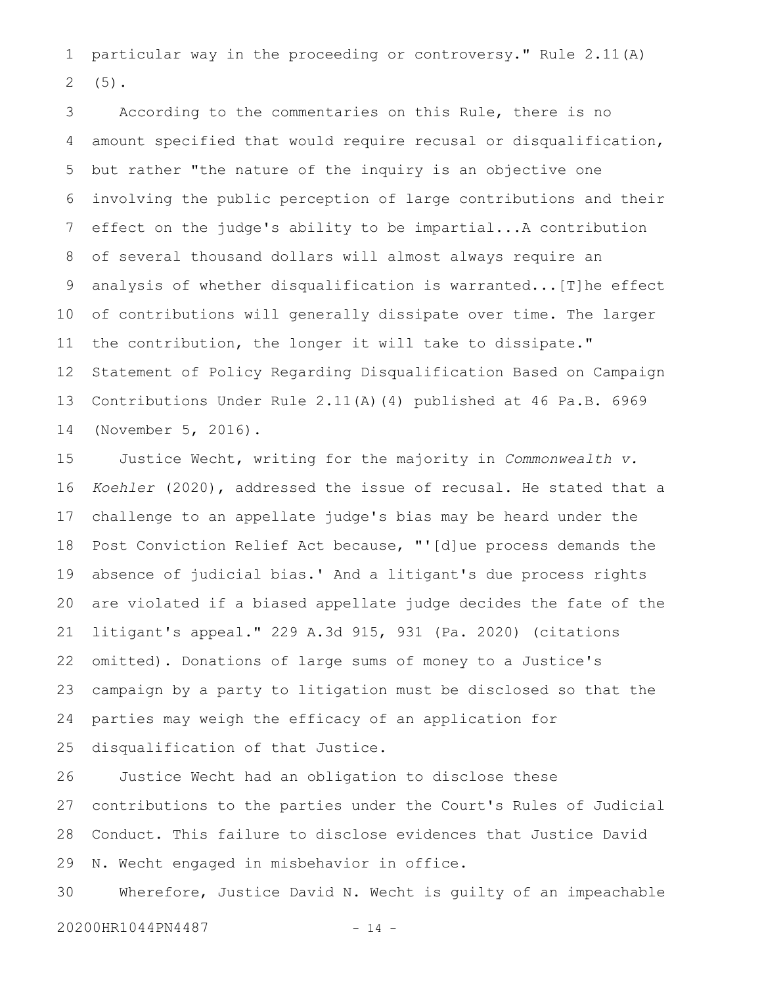particular way in the proceeding or controversy." Rule 2.11(A) (5). 1 2

According to the commentaries on this Rule, there is no amount specified that would require recusal or disqualification, but rather "the nature of the inquiry is an objective one involving the public perception of large contributions and their effect on the judge's ability to be impartial...A contribution of several thousand dollars will almost always require an analysis of whether disqualification is warranted...[T]he effect of contributions will generally dissipate over time. The larger the contribution, the longer it will take to dissipate." Statement of Policy Regarding Disqualification Based on Campaign Contributions Under Rule 2.11(A)(4) published at 46 Pa.B. 6969 (November 5, 2016). 3 4 5 6 7 8 9 10 11 12 13 14

Justice Wecht, writing for the majority in *Commonwealth v. Koehler* (2020), addressed the issue of recusal. He stated that a challenge to an appellate judge's bias may be heard under the Post Conviction Relief Act because, "'[d]ue process demands the absence of judicial bias.' And a litigant's due process rights are violated if a biased appellate judge decides the fate of the litigant's appeal." 229 A.3d 915, 931 (Pa. 2020) (citations omitted). Donations of large sums of money to a Justice's campaign by a party to litigation must be disclosed so that the parties may weigh the efficacy of an application for disqualification of that Justice. 15 16 17 18 19 20 21 22 23 24 25

Justice Wecht had an obligation to disclose these contributions to the parties under the Court's Rules of Judicial Conduct. This failure to disclose evidences that Justice David N. Wecht engaged in misbehavior in office. 26 27 28 29

Wherefore, Justice David N. Wecht is guilty of an impeachable 20200HR1044PN4487 - 14 -30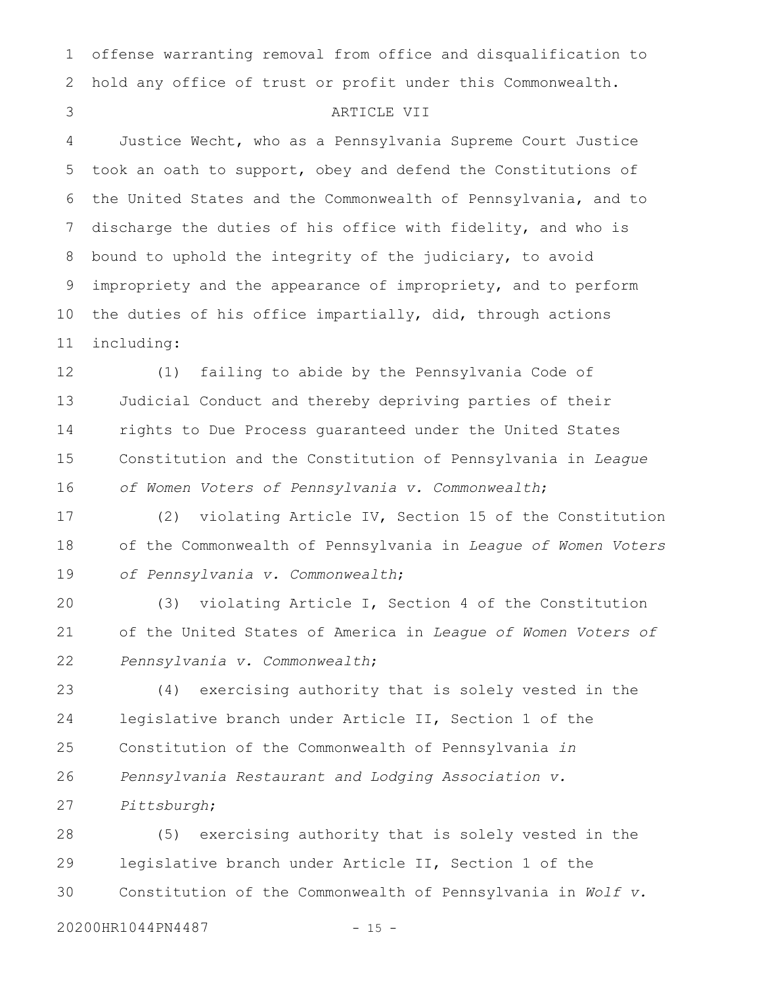offense warranting removal from office and disqualification to hold any office of trust or profit under this Commonwealth. 1 2

3

### ARTICLE VII

Justice Wecht, who as a Pennsylvania Supreme Court Justice took an oath to support, obey and defend the Constitutions of the United States and the Commonwealth of Pennsylvania, and to discharge the duties of his office with fidelity, and who is bound to uphold the integrity of the judiciary, to avoid impropriety and the appearance of impropriety, and to perform the duties of his office impartially, did, through actions including: 4 5 6 7 8 9 10 11

(1) failing to abide by the Pennsylvania Code of Judicial Conduct and thereby depriving parties of their rights to Due Process guaranteed under the United States Constitution and the Constitution of Pennsylvania in *League of Women Voters of Pennsylvania v. Commonwealth*; 12 13 14 15 16

(2) violating Article IV, Section 15 of the Constitution of the Commonwealth of Pennsylvania in *League of Women Voters of Pennsylvania v. Commonwealth*; 17 18 19

(3) violating Article I, Section 4 of the Constitution of the United States of America in *League of Women Voters of Pennsylvania v. Commonwealth*; 20 21 22

(4) exercising authority that is solely vested in the legislative branch under Article II, Section 1 of the Constitution of the Commonwealth of Pennsylvania *in Pennsylvania Restaurant and Lodging Association v. Pittsburgh*; 23 24 25 26 27

(5) exercising authority that is solely vested in the legislative branch under Article II, Section 1 of the Constitution of the Commonwealth of Pennsylvania in *Wolf v.* 28 29 30

20200HR1044PN4487 - 15 -